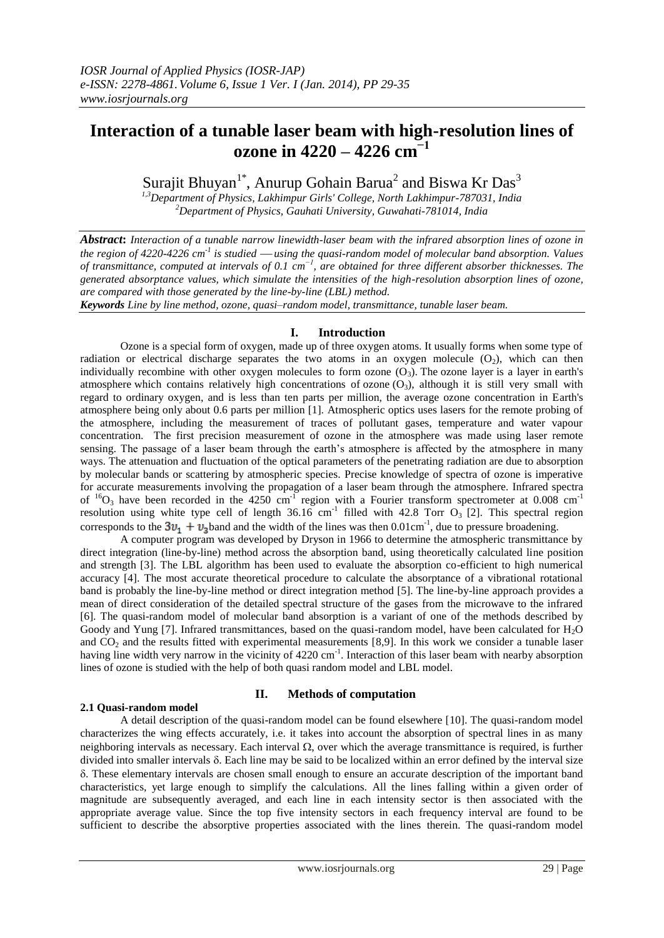# **Interaction of a tunable laser beam with high-resolution lines of ozone in 4220 – 4226 cm −1**

Surajit Bhuyan<sup>1\*</sup>, Anurup Gohain Barua<sup>2</sup> and Biswa Kr Das<sup>3</sup>

*1,3Department of Physics, Lakhimpur Girls' College, North Lakhimpur-787031, India <sup>2</sup>Department of Physics, Gauhati University, Guwahati-781014, India*

*Abstract***:** *Interaction of a tunable narrow linewidth-laser beam with the infrared absorption lines of ozone in*  the region of 4220-4226 cm<sup>-1</sup> is studied — using the quasi-random model of molecular band absorption. Values *of transmittance, computed at intervals of 0.1 cm −1, are obtained for three different absorber thicknesses. The generated absorptance values, which simulate the intensities of the high-resolution absorption lines of ozone, are compared with those generated by the line-by-line (LBL) method.*

*Keywords Line by line method, ozone, quasi–random model, transmittance, tunable laser beam.*

## **I. Introduction**

Ozone is a special form of oxygen, made up of three oxygen atoms. It usually forms when some type of radiation or electrical discharge separates the two atoms in an oxygen molecule  $(O_2)$ , which can then individually recombine with other oxygen molecules to form ozone  $(O_3)$ . The ozone layer is a layer in earth's [atmosphere](http://en.wikipedia.org/wiki/Earth%27s_atmosphere) which contains relatively high concentrations of [ozone](http://en.wikipedia.org/wiki/Ozone)  $(O_3)$ , although it is still very small with regard to ordinary oxygen, and is less than ten parts per million, the average ozone concentration in Earth's atmosphere being only about 0.6 parts per million [1]. Atmospheric optics uses lasers for the remote probing of the atmosphere, including the measurement of traces of pollutant gases, temperature and water vapour concentration. The first precision measurement of ozone in the atmosphere was made using laser remote sensing. The passage of a laser beam through the earth's atmosphere is affected by the atmosphere in many ways. The attenuation and fluctuation of the optical parameters of the penetrating radiation are due to absorption by molecular bands or scattering by atmospheric species. Precise knowledge of spectra of ozone is imperative for accurate measurements involving the propagation of a laser beam through the atmosphere. Infrared spectra of  ${}^{16}O_3$  have been recorded in the 4250 cm<sup>-1</sup> region with a Fourier transform spectrometer at 0.008 cm<sup>-1</sup> resolution using white type cell of length  $36.16$  cm<sup>-1</sup> filled with 42.8 Torr  $O_3$  [2]. This spectral region corresponds to the  $3v_1 + v_3$  band and the width of the lines was then 0.01cm<sup>-1</sup>, due to pressure broadening.

A computer program was developed by Dryson in 1966 to determine the atmospheric transmittance by direct integration (line-by-line) method across the absorption band, using theoretically calculated line position and strength [3]. The LBL algorithm has been used to evaluate the absorption co-efficient to high numerical accuracy [4]. The most accurate theoretical procedure to calculate the absorptance of a vibrational rotational band is probably the line-by-line method or direct integration method [5]. The line-by-line approach provides a mean of direct consideration of the detailed spectral structure of the gases from the microwave to the infrared [6]. The quasi-random model of molecular band absorption is a variant of one of the methods described by Goody and Yung [7]. Infrared transmittances, based on the quasi-random model, have been calculated for H<sub>2</sub>O and  $CO<sub>2</sub>$  and the results fitted with experimental measurements [8,9]. In this work we consider a tunable laser having line width very narrow in the vicinity of 4220 cm<sup>-1</sup>. Interaction of this laser beam with nearby absorption lines of ozone is studied with the help of both quasi random model and LBL model.

## **2.1 Quasi-random model**

## **II. Methods of computation**

A detail description of the quasi-random model can be found elsewhere [10]. The quasi-random model characterizes the wing effects accurately, i.e. it takes into account the absorption of spectral lines in as many neighboring intervals as necessary. Each interval  $\Omega$ , over which the average transmittance is required, is further divided into smaller intervals  $\delta$ . Each line may be said to be localized within an error defined by the interval size . These elementary intervals are chosen small enough to ensure an accurate description of the important band characteristics, yet large enough to simplify the calculations. All the lines falling within a given order of magnitude are subsequently averaged, and each line in each intensity sector is then associated with the appropriate average value. Since the top five intensity sectors in each frequency interval are found to be sufficient to describe the absorptive properties associated with the lines therein. The quasi-random model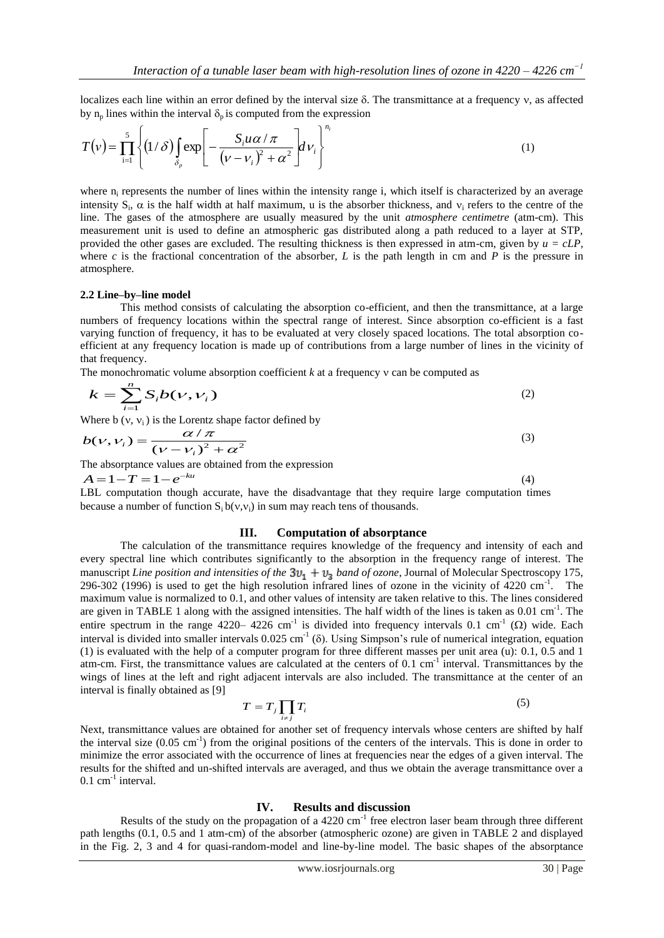localizes each line within an error defined by the interval size  $\delta$ . The transmittance at a frequency y, as affected by  $n_p$  lines within the interval  $\delta_p$  is computed from the expression

$$
T(v) = \prod_{i=1}^{5} \left\{ (1/\delta) \int_{\delta_p} \exp\left[ -\frac{S_i u \alpha / \pi}{(\nu - \nu_i)^2 + \alpha^2} \right] dv_i \right\}^{n_i}
$$
 (1)

where n<sub>i</sub> represents the number of lines within the intensity range i, which itself is characterized by an average intensity  $S_i$ ,  $\alpha$  is the half width at half maximum, u is the absorber thickness, and  $v_i$  refers to the centre of the line. The gases of the atmosphere are usually measured by the unit *atmosphere centimetre* (atm-cm). This measurement unit is used to define an atmospheric gas distributed along a path reduced to a layer at STP, provided the other gases are excluded. The resulting thickness is then expressed in atm-cm, given by *u = cLP*, where c is the fractional concentration of the absorber, L is the path length in cm and P is the pressure in atmosphere.

#### **2.2 Line–by–line model**

This method consists of calculating the absorption co-efficient, and then the transmittance, at a large numbers of frequency locations within the spectral range of interest. Since absorption co-efficient is a fast varying function of frequency, it has to be evaluated at very closely spaced locations. The total absorption coefficient at any frequency location is made up of contributions from a large number of lines in the vicinity of that frequency.

The monochromatic volume absorption coefficient  $k$  at a frequency  $v$  can be computed as

$$
k = \sum_{i=1}^{n} S_i b(v, v_i)
$$
\n<sup>(2)</sup>

Where b (v, v<sub>i</sub>) is the Lorentz shape factor defined by  
\n
$$
b(v, v_i) = \frac{\alpha / \pi}{(v - v_i)^2 + \alpha^2}
$$
\n(3)

The absorptance values are obtained from the expression  $A = 1 - T = 1 - e^{-ku}$ 

(4)

LBL computation though accurate, have the disadvantage that they require large computation times because a number of function  $S_i b(v_i, v_i)$  in sum may reach tens of thousands.

### **III. Computation of absorptance**

The calculation of the transmittance requires knowledge of the frequency and intensity of each and every spectral line which contributes significantly to the absorption in the frequency range of interest. The manuscript *Line position and intensities of the*  $3v_1 + v_3$  *band of ozone*, Journal of Molecular Spectroscopy 175, 296-302 (1996) is used to get the high resolution infrared lines of ozone in the vicinity of  $4220 \text{ cm}^{-1}$ . The maximum value is normalized to 0.1, and other values of intensity are taken relative to this. The lines considered are given in TABLE 1 along with the assigned intensities. The half width of the lines is taken as 0.01 cm<sup>-1</sup>. The entire spectrum in the range 4220–4226 cm<sup>-1</sup> is divided into frequency intervals 0.1 cm<sup>-1</sup> ( $\Omega$ ) wide. Each interval is divided into smaller intervals  $0.025 \text{ cm}^{-1}$  ( $\delta$ ). Using Simpson's rule of numerical integration, equation (1) is evaluated with the help of a computer program for three different masses per unit area (u): 0.1, 0.5 and 1 atm-cm. First, the transmittance values are calculated at the centers of 0.1 cm<sup>-1</sup> interval. Transmittances by the wings of lines at the left and right adjacent intervals are also included. The transmittance at the center of an interval is finally obtained as [9]

$$
T = T_j \prod_{i \neq j} T_i \tag{5}
$$

Next, transmittance values are obtained for another set of frequency intervals whose centers are shifted by half the interval size  $(0.05 \text{ cm}^{-1})$  from the original positions of the centers of the intervals. This is done in order to minimize the error associated with the occurrence of lines at frequencies near the edges of a given interval. The results for the shifted and un-shifted intervals are averaged, and thus we obtain the average transmittance over a  $0.1$  cm<sup>-1</sup> interval.

### **IV. Results and discussion**

Results of the study on the propagation of a  $4220 \text{ cm}^{-1}$  free electron laser beam through three different path lengths (0.1, 0.5 and 1 atm-cm) of the absorber (atmospheric ozone) are given in TABLE 2 and displayed in the Fig. 2, 3 and 4 for quasi-random-model and line-by-line model. The basic shapes of the absorptance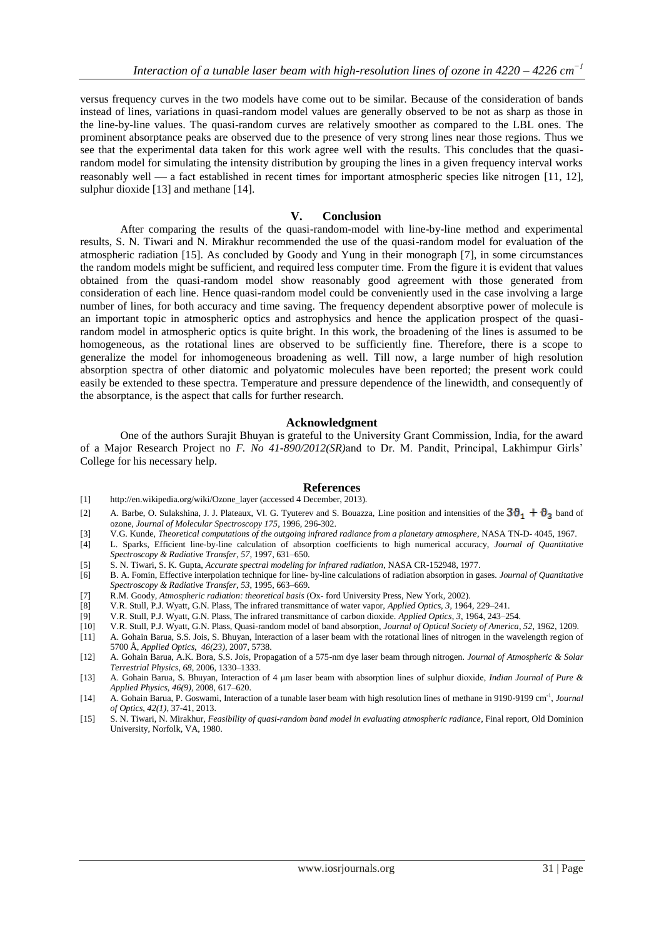versus frequency curves in the two models have come out to be similar. Because of the consideration of bands instead of lines, variations in quasi-random model values are generally observed to be not as sharp as those in the line-by-line values. The quasi-random curves are relatively smoother as compared to the LBL ones. The prominent absorptance peaks are observed due to the presence of very strong lines near those regions. Thus we see that the experimental data taken for this work agree well with the results. This concludes that the quasirandom model for simulating the intensity distribution by grouping the lines in a given frequency interval works reasonably well — a fact established in recent times for important atmospheric species like nitrogen [11, 12], sulphur dioxide [13] and methane [14].

## **V. Conclusion**

After comparing the results of the quasi-random-model with line-by-line method and experimental results, S. N. Tiwari and N. Mirakhur recommended the use of the quasi-random model for evaluation of the atmospheric radiation [15]. As concluded by Goody and Yung in their monograph [7], in some circumstances the random models might be sufficient, and required less computer time. From the figure it is evident that values obtained from the quasi-random model show reasonably good agreement with those generated from consideration of each line. Hence quasi-random model could be conveniently used in the case involving a large number of lines, for both accuracy and time saving. The frequency dependent absorptive power of molecule is an important topic in atmospheric optics and astrophysics and hence the application prospect of the quasirandom model in atmospheric optics is quite bright. In this work, the broadening of the lines is assumed to be homogeneous, as the rotational lines are observed to be sufficiently fine. Therefore, there is a scope to generalize the model for inhomogeneous broadening as well. Till now, a large number of high resolution absorption spectra of other diatomic and polyatomic molecules have been reported; the present work could easily be extended to these spectra. Temperature and pressure dependence of the linewidth, and consequently of the absorptance, is the aspect that calls for further research.

### **Acknowledgment**

One of the authors Surajit Bhuyan is grateful to the University Grant Commission, India, for the award of a Major Research Project no *F. No 41-890/2012(SR)*and to Dr. M. Pandit, Principal, Lakhimpur Girls' College for his necessary help.

#### **References**

- [1] [http://en.wikipedia.org/wiki/Ozone\\_layer](http://en.wikipedia.org/wiki/Ozone_layer) (accessed 4 December, 2013).
- [2] A. Barbe, O. Sulakshina, J. J. Plateaux, Vl. G. Tyuterev and S. Bouazza, Line position and intensities of the  $3\theta_1 + \theta_2$  band of ozone, *Journal of Molecular Spectroscopy 175*, 1996, 296-302.
- [3] V.G. Kunde, *Theoretical computations of the outgoing infrared radiance from a planetary atmosphere*, NASA TN-D- 4045, 1967.
- [4] L. Sparks, Efficient line-by-line calculation of absorption coefficients to high numerical accuracy, *Journal of Quantitative Spectroscopy & Radiative Transfer*, *57*, 1997, 631–650.
- [5] S. N. Tiwari, S. K. Gupta, *Accurate spectral modeling for infrared radiation*, NASA CR-152948, 1977.
- [6] B. A. Fomin, Effective interpolation technique for line- by-line calculations of radiation absorption in gases. *Journal of Quantitative Spectroscopy & Radiative Transfer*, *53*, 1995, 663–669.
- [7] R.M. Goody, *Atmospheric radiation: theoretical basis* (Ox- ford University Press, New York, 2002).
- [8] V.R. Stull, P.J. Wyatt, G.N. Plass, The infrared transmittance of water vapor, *Applied Optics*, *3*, 1964, 229–241.
- [9] V.R. Stull, P.J. Wyatt, G.N. Plass, The infrared transmittance of carbon dioxide. *Applied Optics*, *3*, 1964, 243–254.
- [10] V.R. Stull, P.J. Wyatt, G.N. Plass, Quasi-random model of band absorption, *Journal of Optical Society of America*, *52*, 1962, 1209.
- [11] A. Gohain Barua, S.S. Jois, S. Bhuyan, Interaction of a laser beam with the rotational lines of nitrogen in the wavelength region of 5700 Å, *Applied Optics*, *46(23)*, 2007, 5738.
- [12] A. Gohain Barua, A.K. Bora, S.S. Jois, Propagation of a 575-nm dye laser beam through nitrogen. *Journal of Atmospheric & Solar Terrestrial Physics*, *68*, 2006, 1330–1333.
- [13] A. Gohain Barua, S. Bhuyan, Interaction of 4 μm laser beam with absorption lines of sulphur dioxide, *Indian Journal of Pure & Applied Physics*, *46(9)*, 2008, 617–620.
- [14] A. Gohain Barua, P. Goswami, Interaction of a tunable laser beam with high resolution lines of methane in 9190-9199 cm-1 , *Journal of Optics*, *42(1)*, 37-41, 2013.
- [15] S. N. Tiwari, N. Mirakhur, *Feasibility of quasi-random band model in evaluating atmospheric radiance*, Final report, Old Dominion University, Norfolk, VA, 1980.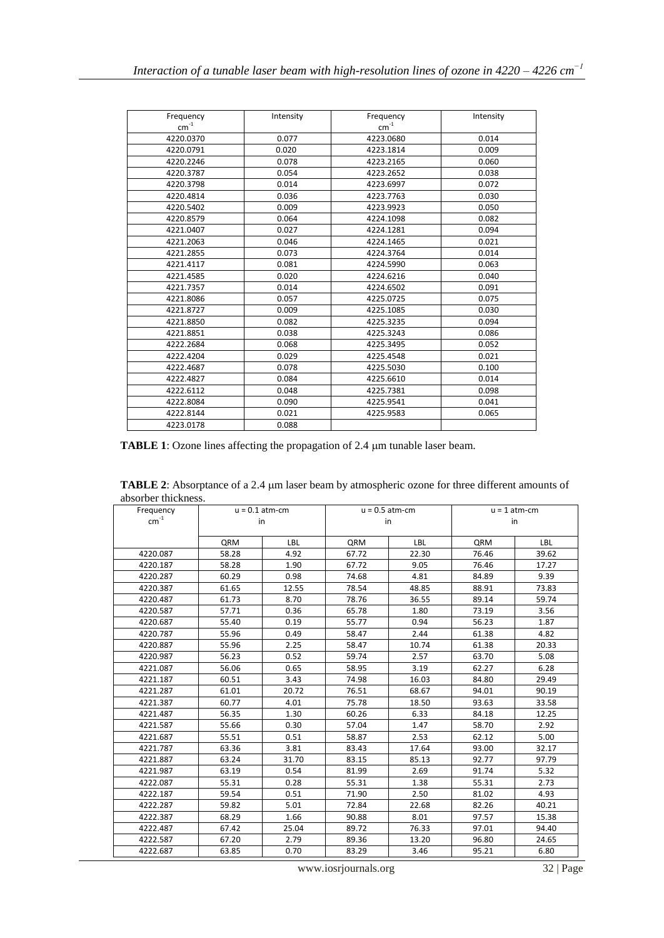| Frequency                 | Intensity | Frequency                 | Intensity |
|---------------------------|-----------|---------------------------|-----------|
| $\mathsf{cm}^{\text{-1}}$ |           | $\mathsf{cm}^{\text{-1}}$ |           |
| 4220.0370                 | 0.077     | 4223.0680                 | 0.014     |
| 4220.0791                 | 0.020     | 4223.1814                 | 0.009     |
| 4220.2246                 | 0.078     | 4223.2165                 | 0.060     |
| 4220.3787                 | 0.054     | 4223.2652                 | 0.038     |
| 4220.3798                 | 0.014     | 4223.6997                 | 0.072     |
| 4220.4814                 | 0.036     | 4223.7763                 | 0.030     |
| 4220.5402                 | 0.009     | 4223.9923                 | 0.050     |
| 4220.8579                 | 0.064     | 4224.1098                 | 0.082     |
| 4221.0407                 | 0.027     | 4224.1281                 | 0.094     |
| 4221.2063                 | 0.046     | 4224.1465                 | 0.021     |
| 4221.2855                 | 0.073     | 4224.3764                 | 0.014     |
| 4221.4117                 | 0.081     | 4224.5990                 | 0.063     |
| 4221.4585                 | 0.020     | 4224.6216                 | 0.040     |
| 4221.7357                 | 0.014     | 4224.6502                 | 0.091     |
| 4221.8086                 | 0.057     | 4225.0725                 | 0.075     |
| 4221.8727                 | 0.009     | 4225.1085                 | 0.030     |
| 4221.8850                 | 0.082     | 4225.3235                 | 0.094     |
| 4221.8851                 | 0.038     | 4225.3243                 | 0.086     |
| 4222.2684                 | 0.068     | 4225.3495                 | 0.052     |
| 4222.4204                 | 0.029     | 4225.4548                 | 0.021     |
| 4222.4687                 | 0.078     | 4225.5030                 | 0.100     |
| 4222.4827                 | 0.084     | 4225.6610                 | 0.014     |
| 4222.6112                 | 0.048     | 4225.7381                 | 0.098     |
| 4222.8084                 | 0.090     | 4225.9541                 | 0.041     |
| 4222.8144                 | 0.021     | 4225.9583                 | 0.065     |
| 4223.0178                 | 0.088     |                           |           |

**TABLE 1**: Ozone lines affecting the propagation of 2.4  $\mu$ m tunable laser beam.

TABLE 2: Absorptance of a 2.4  $\mu$ m laser beam by atmospheric ozone for three different amounts of absorber thickness.

| Frequency | $u = 0.1$ atm-cm |            | $u = 0.5$ atm-cm |       | $u = 1$ atm-cm |       |
|-----------|------------------|------------|------------------|-------|----------------|-------|
| $cm^{-1}$ |                  | in<br>in   |                  |       | in             |       |
|           |                  |            |                  |       |                |       |
|           | QRM              | <b>LBL</b> | QRM              | LBL   | QRM            | LBL   |
| 4220.087  | 58.28            | 4.92       | 67.72            | 22.30 | 76.46          | 39.62 |
| 4220.187  | 58.28            | 1.90       | 67.72            | 9.05  | 76.46          | 17.27 |
| 4220.287  | 60.29            | 0.98       | 74.68            | 4.81  | 84.89          | 9.39  |
| 4220.387  | 61.65            | 12.55      | 78.54            | 48.85 | 88.91          | 73.83 |
| 4220.487  | 61.73            | 8.70       | 78.76            | 36.55 | 89.14          | 59.74 |
| 4220.587  | 57.71            | 0.36       | 65.78            | 1.80  | 73.19          | 3.56  |
| 4220.687  | 55.40            | 0.19       | 55.77            | 0.94  | 56.23          | 1.87  |
| 4220.787  | 55.96            | 0.49       | 58.47            | 2.44  | 61.38          | 4.82  |
| 4220.887  | 55.96            | 2.25       | 58.47            | 10.74 | 61.38          | 20.33 |
| 4220.987  | 56.23            | 0.52       | 59.74            | 2.57  | 63.70          | 5.08  |
| 4221.087  | 56.06            | 0.65       | 58.95            | 3.19  | 62.27          | 6.28  |
| 4221.187  | 60.51            | 3.43       | 74.98            | 16.03 | 84.80          | 29.49 |
| 4221.287  | 61.01            | 20.72      | 76.51            | 68.67 | 94.01          | 90.19 |
| 4221.387  | 60.77            | 4.01       | 75.78            | 18.50 | 93.63          | 33.58 |
| 4221.487  | 56.35            | 1.30       | 60.26            | 6.33  | 84.18          | 12.25 |
| 4221.587  | 55.66            | 0.30       | 57.04            | 1.47  | 58.70          | 2.92  |
| 4221.687  | 55.51            | 0.51       | 58.87            | 2.53  | 62.12          | 5.00  |
| 4221.787  | 63.36            | 3.81       | 83.43            | 17.64 | 93.00          | 32.17 |
| 4221.887  | 63.24            | 31.70      | 83.15            | 85.13 | 92.77          | 97.79 |
| 4221.987  | 63.19            | 0.54       | 81.99            | 2.69  | 91.74          | 5.32  |
| 4222.087  | 55.31            | 0.28       | 55.31            | 1.38  | 55.31          | 2.73  |
| 4222.187  | 59.54            | 0.51       | 71.90            | 2.50  | 81.02          | 4.93  |
| 4222.287  | 59.82            | 5.01       | 72.84            | 22.68 | 82.26          | 40.21 |
| 4222.387  | 68.29            | 1.66       | 90.88            | 8.01  | 97.57          | 15.38 |
| 4222.487  | 67.42            | 25.04      | 89.72            | 76.33 | 97.01          | 94.40 |
| 4222.587  | 67.20            | 2.79       | 89.36            | 13.20 | 96.80          | 24.65 |
| 4222.687  | 63.85            | 0.70       | 83.29            | 3.46  | 95.21          | 6.80  |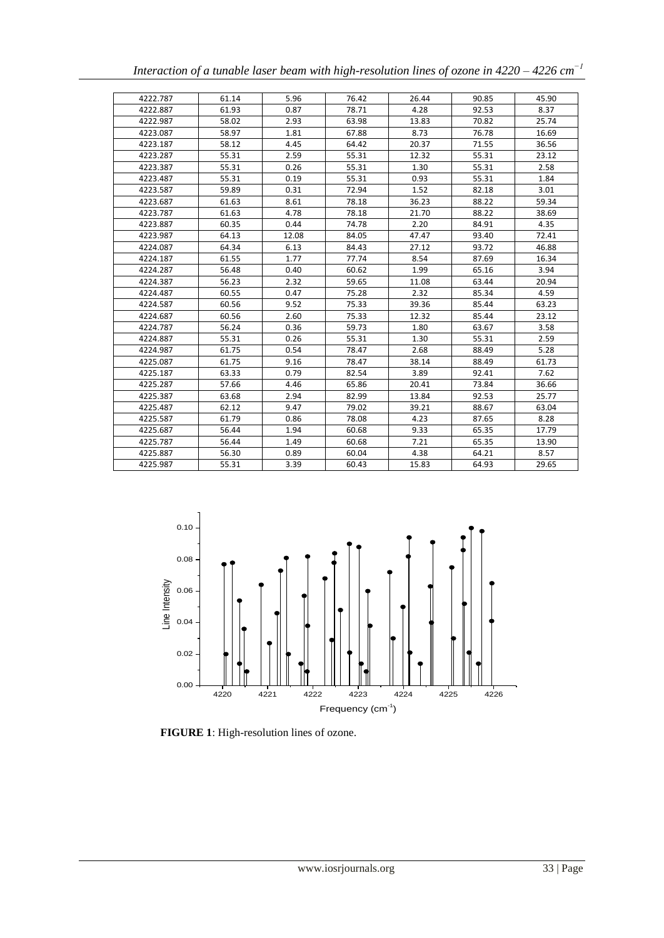|          |       |       |       |       | meraciion of a imable laser beam with high-resounton thies of ozone in $7220 - 7220$ cm |       |
|----------|-------|-------|-------|-------|-----------------------------------------------------------------------------------------|-------|
|          |       |       |       |       |                                                                                         |       |
| 4222.787 | 61.14 | 5.96  | 76.42 | 26.44 | 90.85                                                                                   | 45.90 |
| 4222.887 | 61.93 | 0.87  | 78.71 | 4.28  | 92.53                                                                                   | 8.37  |
| 4222.987 | 58.02 | 2.93  | 63.98 | 13.83 | 70.82                                                                                   | 25.74 |
| 4223.087 | 58.97 | 1.81  | 67.88 | 8.73  | 76.78                                                                                   | 16.69 |
| 4223.187 | 58.12 | 4.45  | 64.42 | 20.37 | 71.55                                                                                   | 36.56 |
| 4223.287 | 55.31 | 2.59  | 55.31 | 12.32 | 55.31                                                                                   | 23.12 |
| 4223.387 | 55.31 | 0.26  | 55.31 | 1.30  | 55.31                                                                                   | 2.58  |
| 4223.487 | 55.31 | 0.19  | 55.31 | 0.93  | 55.31                                                                                   | 1.84  |
| 4223.587 | 59.89 | 0.31  | 72.94 | 1.52  | 82.18                                                                                   | 3.01  |
| 4223.687 | 61.63 | 8.61  | 78.18 | 36.23 | 88.22                                                                                   | 59.34 |
| 4223.787 | 61.63 | 4.78  | 78.18 | 21.70 | 88.22                                                                                   | 38.69 |
| 4223.887 | 60.35 | 0.44  | 74.78 | 2.20  | 84.91                                                                                   | 4.35  |
| 4223.987 | 64.13 | 12.08 | 84.05 | 47.47 | 93.40                                                                                   | 72.41 |
| 4224.087 | 64.34 | 6.13  | 84.43 | 27.12 | 93.72                                                                                   | 46.88 |
| 4224.187 | 61.55 | 1.77  | 77.74 | 8.54  | 87.69                                                                                   | 16.34 |

4224.287 | 56.48 | 0.40 | 60.62 | 1.99 | 65.16 | 3.94 4224.387 | 56.23 | 2.32 | 59.65 | 11.08 | 63.44 | 20.94 4224.487 | 60.55 | 0.47 | 75.28 | 2.32 | 85.34 | 4.59 4224.587 | 60.56 | 9.52 | 75.33 | 39.36 | 85.44 | 63.23 4224.687 | 60.56 | 2.60 | 75.33 | 12.32 | 85.44 | 23.12 4224.787 | 56.24 | 0.36 | 59.73 | 1.80 | 63.67 | 3.58 4224.887 | 55.31 | 0.26 | 55.31 | 1.30 | 55.31 | 2.59 4224.987 | 61.75 | 0.54 | 78.47 | 2.68 | 88.49 | 5.28 4225.087 | 61.75 | 9.16 | 78.47 | 38.14 | 88.49 | 61.73 4225.187 | 63.33 | 0.79 | 82.54 | 3.89 | 92.41 | 7.62 4225.287 | 57.66 | 4.46 | 65.86 | 20.41 | 73.84 | 36.66 4225.387 | 63.68 | 2.94 | 82.99 | 13.84 | 92.53 | 25.77 4225.487 | 62.12 | 9.47 | 79.02 | 39.21 | 88.67 | 63.04 4225.587 | 61.79 | 0.86 | 78.08 | 4.23 | 87.65 | 8.28 4225.687 | 56.44 | 1.94 | 60.68 | 9.33 | 65.35 | 17.79 4225.787 | 56.44 | 1.49 | 60.68 | 7.21 | 65.35 | 13.90 4225.887 | 56.30 | 0.89 | 60.04 | 4.38 | 64.21 | 8.57 4225.987 | 55.31 | 3.39 | 60.43 | 15.83 | 64.93 | 29.65

*Interaction of a tunable laser beam with high-resolution lines of ozone in 4220 – 4226 cm −1*



**FIGURE 1**: High-resolution lines of ozone.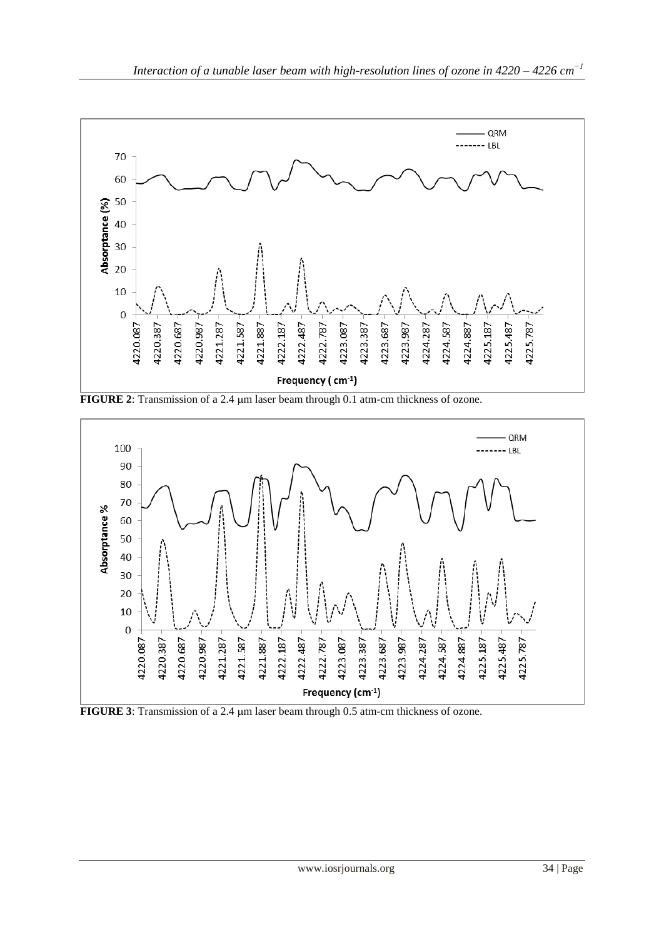

**FIGURE 2**: Transmission of a 2.4  $\mu$ m laser beam through 0.1 atm-cm thickness of ozone.



**FIGURE 3**: Transmission of a 2.4  $\mu$ m laser beam through 0.5 atm-cm thickness of ozone.